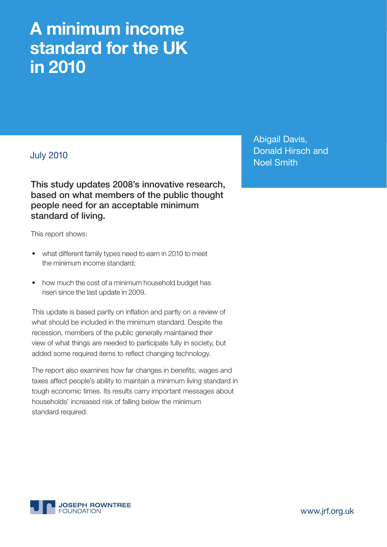# **A minimum income standard for the UK in 2010**

# July 2010

**This study updates 2008's innovative research, based on what members of the public thought people need for an acceptable minimum standard of living.**

This report shows:

- what different family types need to earn in 2010 to meet the minimum income standard;
- how much the cost of a minimum household budget has risen since the last update in 2009.

This update is based partly on inflation and partly on a review of what should be included in the minimum standard. Despite the recession, members of the public generally maintained their view of what things are needed to participate fully in society, but added some required items to reflect changing technology.

The report also examines how far changes in benefits, wages and taxes affect people's ability to maintain a minimum living standard in tough economic times. Its results carry important messages about households' increased risk of falling below the minimum standard required.

Abigail Davis, Donald Hirsch and Noel Smith



www.jrf.org.uk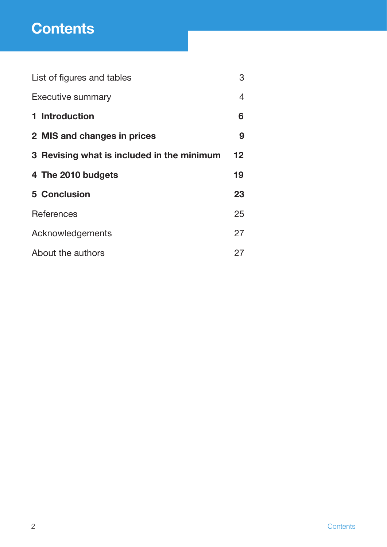# **Contents**

| List of figures and tables                 | 3  |
|--------------------------------------------|----|
| <b>Executive summary</b>                   | 4  |
| 1 Introduction                             | 6  |
| 2 MIS and changes in prices                | 9  |
| 3 Revising what is included in the minimum | 12 |
| 4 The 2010 budgets                         | 19 |
| <b>5 Conclusion</b>                        | 23 |
| <b>References</b>                          | 25 |
| Acknowledgements                           | 27 |
| About the authors                          | 27 |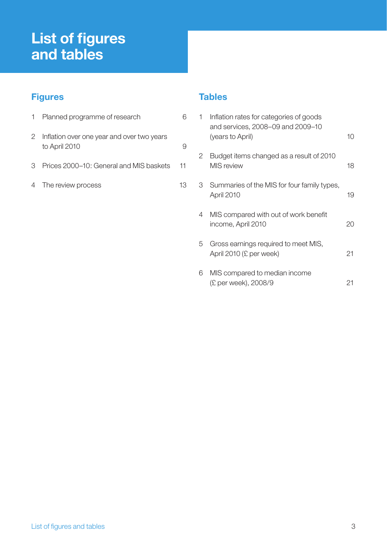# **List of figures and tables**

# **Figures**

|                | Planned programme of research                               |    |
|----------------|-------------------------------------------------------------|----|
| $\overline{2}$ | Inflation over one year and over two years<br>to April 2010 | g  |
| 3              | Prices 2000–10: General and MIS baskets                     | 11 |
|                | 4 The review process                                        | 13 |

# **Tables**

| 1 | Inflation rates for categories of goods<br>and services, 2008-09 and 2009-10<br>(years to April) | 10 |
|---|--------------------------------------------------------------------------------------------------|----|
| 2 | Budget items changed as a result of 2010<br><b>MIS</b> review                                    | 18 |
| 3 | Summaries of the MIS for four family types,<br>April 2010                                        | 19 |
| 4 | MIS compared with out of work benefit<br>income, April 2010                                      | 20 |
| 5 | Gross earnings required to meet MIS,<br>April 2010 (£ per week)                                  | 21 |
| 6 | MIS compared to median income<br>(£ per week), 2008/9                                            | 21 |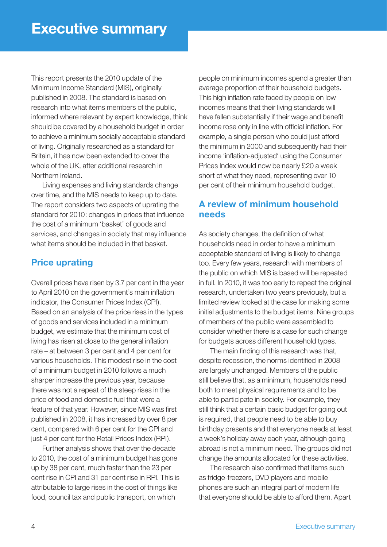This report presents the 2010 update of the Minimum Income Standard (MIS), originally published in 2008. The standard is based on research into what items members of the public, informed where relevant by expert knowledge, think should be covered by a household budget in order to achieve a minimum socially acceptable standard of living. Originally researched as a standard for Britain, it has now been extended to cover the whole of the UK, after additional research in Northern Ireland.

 Living expenses and living standards change over time, and the MIS needs to keep up to date. The report considers two aspects of uprating the standard for 2010: changes in prices that influence the cost of a minimum 'basket' of goods and services, and changes in society that may influence what items should be included in that basket.

# **Price uprating**

Overall prices have risen by 3.7 per cent in the year to April 2010 on the government's main inflation indicator, the Consumer Prices Index (CPI). Based on an analysis of the price rises in the types of goods and services included in a minimum budget, we estimate that the minimum cost of living has risen at close to the general inflation rate – at between 3 per cent and 4 per cent for various households. This modest rise in the cost of a minimum budget in 2010 follows a much sharper increase the previous year, because there was not a repeat of the steep rises in the price of food and domestic fuel that were a feature of that year. However, since MIS was first published in 2008, it has increased by over 8 per cent, compared with 6 per cent for the CPI and just 4 per cent for the Retail Prices Index (RPI).

 Further analysis shows that over the decade to 2010, the cost of a minimum budget has gone up by 38 per cent, much faster than the 23 per cent rise in CPI and 31 per cent rise in RPI. This is attributable to large rises in the cost of things like food, council tax and public transport, on which

people on minimum incomes spend a greater than average proportion of their household budgets. This high inflation rate faced by people on low incomes means that their living standards will have fallen substantially if their wage and benefit income rose only in line with official inflation. For example, a single person who could just afford the minimum in 2000 and subsequently had their income 'inflation-adjusted' using the Consumer Prices Index would now be nearly £20 a week short of what they need, representing over 10 per cent of their minimum household budget.

# **A review of minimum household needs**

As society changes, the definition of what households need in order to have a minimum acceptable standard of living is likely to change too. Every few years, research with members of the public on which MIS is based will be repeated in full. In 2010, it was too early to repeat the original research, undertaken two years previously, but a limited review looked at the case for making some initial adjustments to the budget items. Nine groups of members of the public were assembled to consider whether there is a case for such change for budgets across different household types.

The main finding of this research was that, despite recession, the norms identified in 2008 are largely unchanged. Members of the public still believe that, as a minimum, households need both to meet physical requirements and to be able to participate in society. For example, they still think that a certain basic budget for going out is required, that people need to be able to buy birthday presents and that everyone needs at least a week's holiday away each year, although going abroad is not a minimum need. The groups did not change the amounts allocated for these activities.

The research also confirmed that items such as fridge-freezers, DVD players and mobile phones are such an integral part of modern life that everyone should be able to afford them. Apart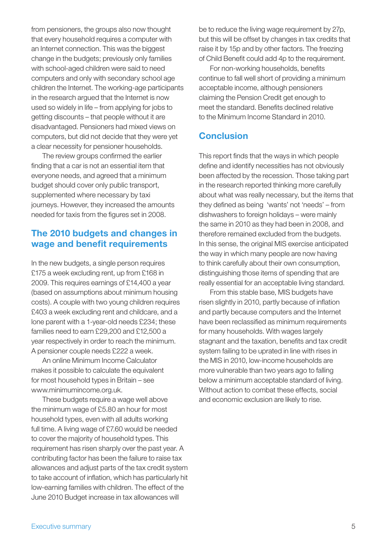from pensioners, the groups also now thought that every household requires a computer with an Internet connection. This was the biggest change in the budgets; previously only families with school-aged children were said to need computers and only with secondary school age children the Internet. The working-age participants in the research argued that the Internet is now used so widely in life – from applying for jobs to getting discounts – that people without it are disadvantaged. Pensioners had mixed views on computers, but did not decide that they were yet a clear necessity for pensioner households.

The review groups confirmed the earlier finding that a car is not an essential item that everyone needs, and agreed that a minimum budget should cover only public transport, supplemented where necessary by taxi journeys. However, they increased the amounts needed for taxis from the figures set in 2008.

# **The 2010 budgets and changes in wage and benefit requirements**

In the new budgets, a single person requires £175 a week excluding rent, up from £168 in 2009. This requires earnings of £14,400 a year (based on assumptions about minimum housing costs). A couple with two young children requires £403 a week excluding rent and childcare, and a lone parent with a 1-year-old needs £234; these families need to earn £29,200 and £12,500 a year respectively in order to reach the minimum. A pensioner couple needs £222 a week.

 An online Minimum Income Calculator makes it possible to calculate the equivalent for most household types in Britain – see www.minimumincome.org.uk.

 These budgets require a wage well above the minimum wage of £5.80 an hour for most household types, even with all adults working full time. A living wage of £7.60 would be needed to cover the majority of household types. This requirement has risen sharply over the past year. A contributing factor has been the failure to raise tax allowances and adjust parts of the tax credit system to take account of inflation, which has particularly hit low-earning families with children. The effect of the June 2010 Budget increase in tax allowances will

be to reduce the living wage requirement by 27p, but this will be offset by changes in tax credits that raise it by 15p and by other factors. The freezing of Child Benefit could add 4p to the requirement.

For non-working households, benefits continue to fall well short of providing a minimum acceptable income, although pensioners claiming the Pension Credit get enough to meet the standard. Benefits declined relative to the Minimum Income Standard in 2010.

# **Conclusion**

This report finds that the ways in which people define and identify necessities has not obviously been affected by the recession. Those taking part in the research reported thinking more carefully about what was really necessary, but the items that they defined as being 'wants' not 'needs' – from dishwashers to foreign holidays – were mainly the same in 2010 as they had been in 2008, and therefore remained excluded from the budgets. In this sense, the original MIS exercise anticipated the way in which many people are now having to think carefully about their own consumption, distinguishing those items of spending that are really essential for an acceptable living standard.

 From this stable base, MIS budgets have risen slightly in 2010, partly because of inflation and partly because computers and the Internet have been reclassified as minimum requirements for many households. With wages largely stagnant and the taxation, benefits and tax credit system failing to be uprated in line with rises in the MIS in 2010, low-income households are more vulnerable than two years ago to falling below a minimum acceptable standard of living. Without action to combat these effects, social and economic exclusion are likely to rise.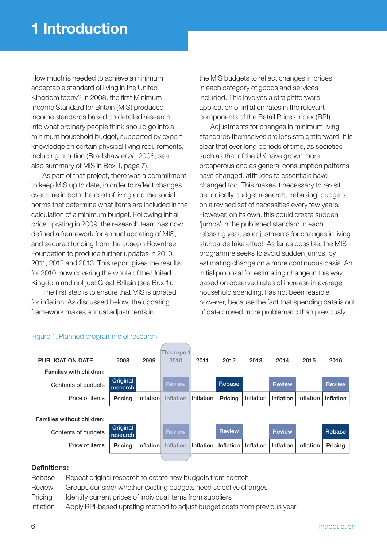How much is needed to achieve a minimum acceptable standard of living in the United Kingdom today? In 2008, the first Minimum Income Standard for Britain (MIS) produced income standards based on detailed research into what ordinary people think should go into a minimum household budget, supported by expert knowledge on certain physical living requirements, including nutrition (Bradshaw *et al.*, 2008; see also summary of MIS in Box 1, page 7).

 As part of that project, there was a commitment to keep MIS up to date, in order to reflect changes over time in both the cost of living and the social norms that determine what items are included in the calculation of a minimum budget. Following initial price uprating in 2009, the research team has now defined a framework for annual updating of MIS, and secured funding from the Joseph Rowntree Foundation to produce further updates in 2010, 2011, 2012 and 2013. This report gives the results for 2010, now covering the whole of the United Kingdom and not just Great Britain (see Box 1).

The first step is to ensure that MIS is uprated for inflation. As discussed below, the updating framework makes annual adjustments in

the MIS budgets to reflect changes in prices in each category of goods and services included. This involves a straightforward application of inflation rates in the relevant components of the Retail Prices Index (RPI).

 Adjustments for changes in minimum living standards themselves are less straightforward. It is clear that over long periods of time, as societies such as that of the UK have grown more prosperous and as general consumption patterns have changed, attitudes to essentials have changed too. This makes it necessary to revisit periodically budget research, 'rebasing' budgets on a revised set of necessities every few years. However, on its own, this could create sudden 'jumps' in the published standard in each rebasing year, as adjustments for changes in living standards take effect. As far as possible, the MIS programme seeks to avoid sudden jumps, by estimating change on a more continuous basis. An initial proposal for estimating change in this way, based on observed rates of increase in average household spending, has not been feasible, however, because the fact that spending data is out of date proved more problematic than previously

| Figure 1. Planned programme of research |                      |           |               |           |               |           |               |           |                  |
|-----------------------------------------|----------------------|-----------|---------------|-----------|---------------|-----------|---------------|-----------|------------------|
|                                         |                      |           |               |           |               |           |               |           |                  |
|                                         |                      |           | This report   |           |               |           |               |           |                  |
| <b>PUBLICATION DATE</b>                 | 2008                 | 2009      | 2010          | 2011      | 2012          | 2013      | 2014          | 2015      | 2016             |
| Families with children:                 |                      |           |               |           |               |           |               |           |                  |
| Contents of budgets                     | Original<br>research |           | <b>Review</b> |           | Rebase        |           | <b>Review</b> |           | <b>Review</b>    |
| Price of items                          | Pricing              | Inflation | Inflation     | Inflation | Pricing       | Inflation | Inflation     | Inflation | <b>Inflation</b> |
|                                         |                      |           |               |           |               |           |               |           |                  |
| Families without children:              |                      |           |               |           |               |           |               |           |                  |
| Contents of budgets                     | Original<br>research |           | <b>Review</b> |           | <b>Review</b> |           | <b>Review</b> |           | Rebase           |
|                                         |                      |           |               | Inflation | Inflation     | Inflation |               |           |                  |
| Price of items                          | Pricing              | Inflation | Inflation     |           |               |           | Inflation     | Inflation | Pricing          |

#### Definitions:

Rebase Repeat original research to create new budgets from scratch Review Groups consider whether existing budgets need selective changes Pricing Identify current prices of individual items from suppliers Inflation Apply RPI-based uprating method to adjust budget costs from previous year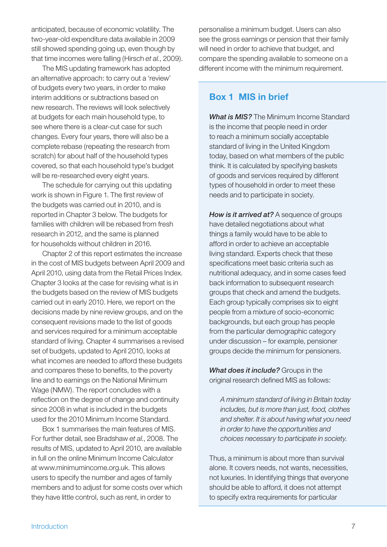anticipated, because of economic volatility. The two-year-old expenditure data available in 2009 still showed spending going up, even though by that time incomes were falling (Hirsch *et al.*, 2009).

 The MIS updating framework has adopted an alternative approach: to carry out a 'review' of budgets every two years, in order to make interim additions or subtractions based on new research. The reviews will look selectively at budgets for each main household type, to see where there is a clear-cut case for such changes. Every four years, there will also be a complete rebase (repeating the research from scratch) for about half of the household types covered, so that each household type's budget will be re-researched every eight years.

 The schedule for carrying out this updating work is shown in Figure 1. The first review of the budgets was carried out in 2010, and is reported in Chapter 3 below. The budgets for families with children will be rebased from fresh research in 2012, and the same is planned for households without children in 2016.

 Chapter 2 of this report estimates the increase in the cost of MIS budgets between April 2009 and April 2010, using data from the Retail Prices Index. Chapter 3 looks at the case for revising what is in the budgets based on the review of MIS budgets carried out in early 2010. Here, we report on the decisions made by nine review groups, and on the consequent revisions made to the list of goods and services required for a minimum acceptable standard of living. Chapter 4 summarises a revised set of budgets, updated to April 2010, looks at what incomes are needed to afford these budgets and compares these to benefits, to the poverty line and to earnings on the National Minimum Wage (NMW). The report concludes with a reflection on the degree of change and continuity since 2008 in what is included in the budgets used for the 2010 Minimum Income Standard.

 Box 1 summarises the main features of MIS. For further detail, see Bradshaw *et al.*, 2008. The results of MIS, updated to April 2010, are available in full on the online Minimum Income Calculator at www.minimumincome.org.uk. This allows users to specify the number and ages of family members and to adjust for some costs over which they have little control, such as rent, in order to

personalise a minimum budget. Users can also see the gross earnings or pension that their family will need in order to achieve that budget, and compare the spending available to someone on a different income with the minimum requirement.

# **Box 1 MIS in brief**

*What is MIS?* The Minimum Income Standard is the income that people need in order to reach a minimum socially acceptable standard of living in the United Kingdom today, based on what members of the public think. It is calculated by specifying baskets of goods and services required by different types of household in order to meet these needs and to participate in society.

*How is it arrived at?* A sequence of groups have detailed negotiations about what things a family would have to be able to afford in order to achieve an acceptable living standard. Experts check that these specifications meet basic criteria such as nutritional adequacy, and in some cases feed back information to subsequent research groups that check and amend the budgets. Each group typically comprises six to eight people from a mixture of socio-economic backgrounds, but each group has people from the particular demographic category under discussion – for example, pensioner groups decide the minimum for pensioners.

*What does it include?* Groups in the original research defined MIS as follows:

*A minimum standard of living in Britain today includes, but is more than just, food, clothes and shelter. It is about having what you need in order to have the opportunities and choices necessary to participate in society.* 

Thus, a minimum is about more than survival alone. It covers needs, not wants, necessities, not luxuries. In identifying things that everyone should be able to afford, it does not attempt to specify extra requirements for particular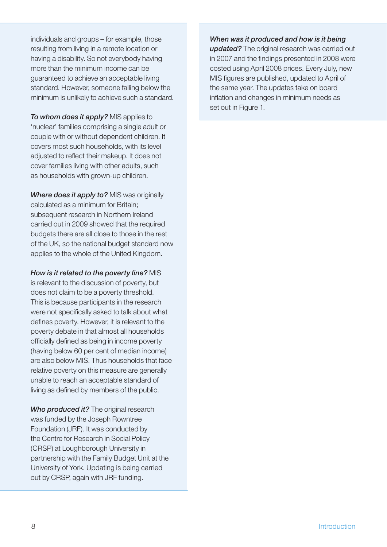individuals and groups – for example, those resulting from living in a remote location or having a disability. So not everybody having more than the minimum income can be guaranteed to achieve an acceptable living standard. However, someone falling below the minimum is unlikely to achieve such a standard.

*To whom does it apply?* MIS applies to 'nuclear' families comprising a single adult or couple with or without dependent children. It covers most such households, with its level adjusted to reflect their makeup. It does not cover families living with other adults, such as households with grown-up children.

*Where does it apply to?* MIS was originally calculated as a minimum for Britain; subsequent research in Northern Ireland carried out in 2009 showed that the required budgets there are all close to those in the rest of the UK, so the national budget standard now applies to the whole of the United Kingdom.

*How is it related to the poverty line?* MIS is relevant to the discussion of poverty, but does not claim to be a poverty threshold. This is because participants in the research were not specifically asked to talk about what defines poverty. However, it is relevant to the poverty debate in that almost all households officially defined as being in income poverty (having below 60 per cent of median income) are also below MIS. Thus households that face relative poverty on this measure are generally unable to reach an acceptable standard of living as defined by members of the public.

*Who produced it?* The original research was funded by the Joseph Rowntree Foundation (JRF). It was conducted by the Centre for Research in Social Policy (CRSP) at Loughborough University in partnership with the Family Budget Unit at the University of York. Updating is being carried out by CRSP, again with JRF funding.

#### *When was it produced and how is it being*

*updated?* The original research was carried out in 2007 and the findings presented in 2008 were costed using April 2008 prices. Every July, new MIS figures are published, updated to April of the same year. The updates take on board inflation and changes in minimum needs as set out in Figure 1.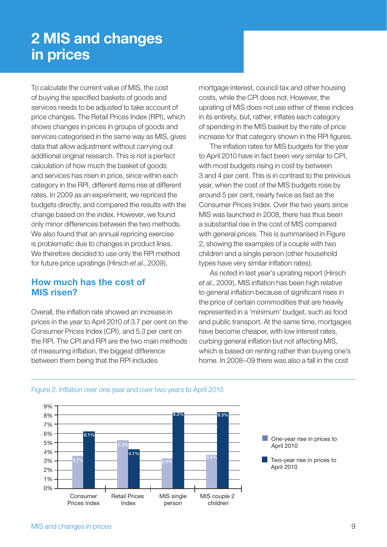# **2 MIS and changes in prices**

To calculate the current value of MIS, the cost of buying the specified baskets of goods and services needs to be adjusted to take account of price changes. The Retail Prices Index (RPI), which shows changes in prices in groups of goods and services categorised in the same way as MIS, gives data that allow adjustment without carrying out additional original research. This is not a perfect calculation of how much the basket of goods and services has risen in price, since within each category in the RPI, different items rise at different rates. In 2009 as an experiment, we repriced the budgets directly, and compared the results with the change based on the index. However, we found only minor differences between the two methods. We also found that an annual repricing exercise is problematic due to changes in product lines. We therefore decided to use only the RPI method for future price upratings (Hirsch *et al.*, 2009).

### **How much has the cost of MIS risen?**

Overall, the inflation rate showed an increase in prices in the year to April 2010 of 3.7 per cent on the Consumer Prices Index (CPI), and 5.3 per cent on the RPI. The CPI and RPI are the two main methods of measuring inflation, the biggest difference between them being that the RPI includes

mortgage interest, council tax and other housing costs, while the CPI does not. However, the uprating of MIS does not use either of these indices in its entirety, but, rather, inflates each category of spending in the MIS basket by the rate of price increase for that category shown in the RPI figures.

The inflation rates for MIS budgets for the year to April 2010 have in fact been very similar to CPI, with most budgets rising in cost by between 3 and 4 per cent. This is in contrast to the previous year, when the cost of the MIS budgets rose by around 5 per cent, nearly twice as fast as the Consumer Prices Index. Over the two years since MIS was launched in 2008, there has thus been a substantial rise in the cost of MIS compared with general prices. This is summarised in Figure 2, showing the examples of a couple with two children and a single person (other household types have very similar inflation rates).

 As noted in last year's uprating report (Hirsch et al., 2009), MIS inflation has been high relative to general inflation because of significant rises in the price of certain commodities that are heavily represented in a 'minimum' budget, such as food and public transport. At the same time, mortgages have become cheaper, with low interest rates, curbing general inflation but not affecting MIS, which is based on renting rather than buying one's home. In 2008–09 there was also a fall in the cost



#### Figure 2. Inflation over one year and over two years to April 2010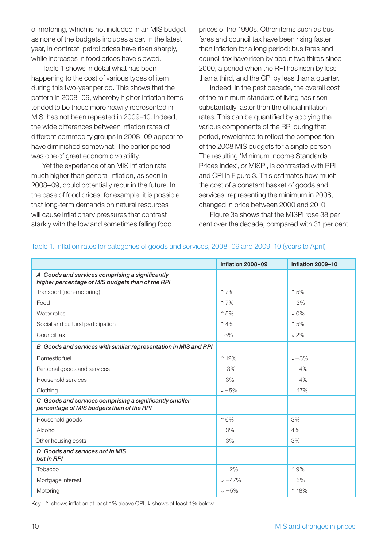of motoring, which is not included in an MIS budget as none of the budgets includes a car. In the latest year, in contrast, petrol prices have risen sharply, while increases in food prices have slowed.

 Table 1 shows in detail what has been happening to the cost of various types of item during this two-year period. This shows that the pattern in 2008–09, whereby higher-inflation items tended to be those more heavily represented in MIS, has not been repeated in 2009–10. Indeed, the wide differences between inflation rates of different commodity groups in 2008–09 appear to have diminished somewhat. The earlier period was one of great economic volatility.

Yet the experience of an MIS inflation rate much higher than general inflation, as seen in 2008–09, could potentially recur in the future. In the case of food prices, for example, it is possible that long-term demands on natural resources will cause inflationary pressures that contrast starkly with the low and sometimes falling food

prices of the 1990s. Other items such as bus fares and council tax have been rising faster than inflation for a long period: bus fares and council tax have risen by about two thirds since 2000, a period when the RPI has risen by less than a third, and the CPI by less than a quarter.

 Indeed, in the past decade, the overall cost of the minimum standard of living has risen substantially faster than the official inflation rates. This can be quantified by applying the various components of the RPI during that period, reweighted to reflect the composition of the 2008 MIS budgets for a single person. The resulting 'Minimum Income Standards Prices Index', or MISPI, is contrasted with RPI and CPI in Figure 3. This estimates how much the cost of a constant basket of goods and services, representing the minimum in 2008, changed in price between 2000 and 2010.

 Figure 3a shows that the MISPI rose 38 per cent over the decade, compared with 31 per cent

|                                                                                                      | Inflation 2008-09  | Inflation 2009-10 |
|------------------------------------------------------------------------------------------------------|--------------------|-------------------|
| A Goods and services comprising a significantly<br>higher percentage of MIS budgets than of the RPI  |                    |                   |
| Transport (non-motoring)                                                                             | <b>17%</b>         | ↑5%               |
| Food                                                                                                 | <b>17%</b>         | 3%                |
| Water rates                                                                                          | ↑5%                | $\downarrow$ 0%   |
| Social and cultural participation                                                                    | 14%                | ↑5%               |
| Council tax                                                                                          | 3%                 | $\downarrow$ 2%   |
| B Goods and services with similar representation in MIS and RPI                                      |                    |                   |
| Domestic fuel                                                                                        | ↑ 12%              | $+-3%$            |
| Personal goods and services                                                                          | 3%                 | 4%                |
| Household services                                                                                   | 3%                 | 4%                |
| Clothing                                                                                             | $+-5%$             | 17%               |
| C Goods and services comprising a significantly smaller<br>percentage of MIS budgets than of the RPI |                    |                   |
| Household goods                                                                                      | 16%                | 3%                |
| Alcohol                                                                                              | 3%                 | 4%                |
| Other housing costs                                                                                  | 3%                 | 3%                |
| D Goods and services not in MIS<br>but in RPI                                                        |                    |                   |
| Tobacco                                                                                              | 2%                 | 19%               |
| Mortgage interest                                                                                    | $\downarrow -47\%$ | 5%                |
| Motoring                                                                                             | $+ -5%$            | ↑ 18%             |

#### Table 1. Inflation rates for categories of goods and services, 2008–09 and 2009–10 (years to April)

Key: ↑ shows inflation at least 1% above CPI, ↓ shows at least 1% below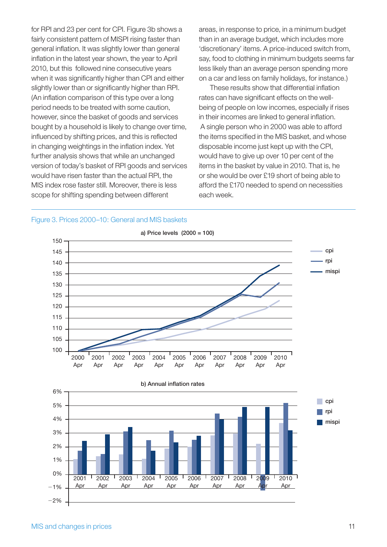for RPI and 23 per cent for CPI. Figure 3b shows a fairly consistent pattern of MISPI rising faster than general inflation. It was slightly lower than general inflation in the latest year shown, the year to April 2010, but this followed nine consecutive years when it was significantly higher than CPI and either slightly lower than or significantly higher than RPI. (An inflation comparison of this type over a long period needs to be treated with some caution, however, since the basket of goods and services bought by a household is likely to change over time, influenced by shifting prices, and this is reflected in changing weightings in the inflation index. Yet further analysis shows that while an unchanged version of today's basket of RPI goods and services would have risen faster than the actual RPI, the MIS index rose faster still. Moreover, there is less scope for shifting spending between different

areas, in response to price, in a minimum budget than in an average budget, which includes more 'discretionary' items. A price-induced switch from, say, food to clothing in minimum budgets seems far less likely than an average person spending more on a car and less on family holidays, for instance.)

These results show that differential inflation rates can have significant effects on the wellbeing of people on low incomes, especially if rises in their incomes are linked to general inflation. A single person who in 2000 was able to afford the items specified in the MIS basket, and whose disposable income just kept up with the CPI, would have to give up over 10 per cent of the items in the basket by value in 2010. That is, he or she would be over £19 short of being able to afford the £170 needed to spend on necessities each week.



#### Figure 3. Prices 2000–10: General and MIS baskets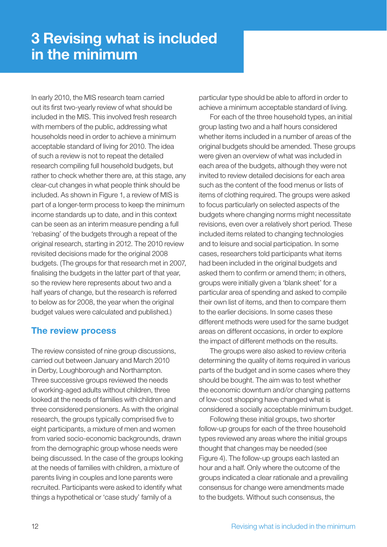In early 2010, the MIS research team carried out its first two-yearly review of what should be included in the MIS. This involved fresh research with members of the public, addressing what households need in order to achieve a minimum acceptable standard of living for 2010. The idea of such a review is not to repeat the detailed research compiling full household budgets, but rather to check whether there are, at this stage, any clear-cut changes in what people think should be included. As shown in Figure 1, a review of MIS is part of a longer-term process to keep the minimum income standards up to date, and in this context can be seen as an interim measure pending a full 'rebasing' of the budgets through a repeat of the original research, starting in 2012. The 2010 review revisited decisions made for the original 2008 budgets. (The groups for that research met in 2007, finalising the budgets in the latter part of that year, so the review here represents about two and a half years of change, but the research is referred to below as for 2008, the year when the original budget values were calculated and published.)

### **The review process**

The review consisted of nine group discussions, carried out between January and March 2010 in Derby, Loughborough and Northampton. Three successive groups reviewed the needs of working-aged adults without children, three looked at the needs of families with children and three considered pensioners. As with the original research, the groups typically comprised five to eight participants, a mixture of men and women from varied socio-economic backgrounds, drawn from the demographic group whose needs were being discussed. In the case of the groups looking at the needs of families with children, a mixture of parents living in couples and lone parents were recruited. Participants were asked to identify what things a hypothetical or 'case study' family of a

particular type should be able to afford in order to achieve a minimum acceptable standard of living.

 For each of the three household types, an initial group lasting two and a half hours considered whether items included in a number of areas of the original budgets should be amended. These groups were given an overview of what was included in each area of the budgets, although they were not invited to review detailed decisions for each area such as the content of the food menus or lists of items of clothing required. The groups were asked to focus particularly on selected aspects of the budgets where changing norms might necessitate revisions, even over a relatively short period. These included items related to changing technologies and to leisure and social participation. In some cases, researchers told participants what items had been included in the original budgets and asked them to confirm or amend them; in others, groups were initially given a 'blank sheet' for a particular area of spending and asked to compile their own list of items, and then to compare them to the earlier decisions. In some cases these different methods were used for the same budget areas on different occasions, in order to explore the impact of different methods on the results.

 The groups were also asked to review criteria determining the quality of items required in various parts of the budget and in some cases where they should be bought. The aim was to test whether the economic downturn and/or changing patterns of low-cost shopping have changed what is considered a socially acceptable minimum budget.

 Following these initial groups, two shorter follow-up groups for each of the three household types reviewed any areas where the initial groups thought that changes may be needed (see Figure 4). The follow-up groups each lasted an hour and a half. Only where the outcome of the groups indicated a clear rationale and a prevailing consensus for change were amendments made to the budgets. Without such consensus, the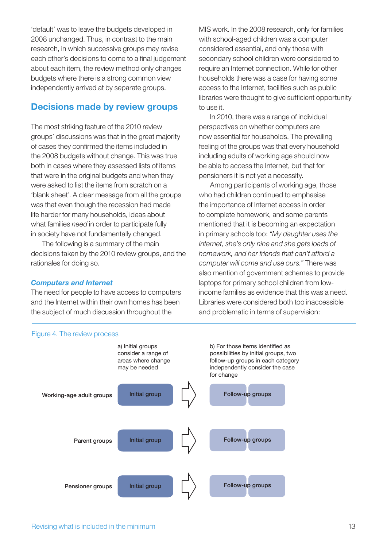'default' was to leave the budgets developed in 2008 unchanged. Thus, in contrast to the main research, in which successive groups may revise each other's decisions to come to a final judgement about each item, the review method only changes budgets where there is a strong common view independently arrived at by separate groups.

### **Decisions made by review groups**

The most striking feature of the 2010 review groups' discussions was that in the great majority of cases they confirmed the items included in the 2008 budgets without change. This was true both in cases where they assessed lists of items that were in the original budgets and when they were asked to list the items from scratch on a 'blank sheet'. A clear message from all the groups was that even though the recession had made life harder for many households, ideas about what families *need* in order to participate fully in society have not fundamentally changed.

 The following is a summary of the main decisions taken by the 2010 review groups, and the rationales for doing so.

#### *Computers and Internet*

The need for people to have access to computers and the Internet within their own homes has been the subject of much discussion throughout the

> a) Initial groups consider a range of areas where change may be needed

> > **Initial group**

MIS work. In the 2008 research, only for families with school-aged children was a computer considered essential, and only those with secondary school children were considered to require an Internet connection. While for other households there was a case for having some access to the Internet, facilities such as public libraries were thought to give sufficient opportunity to use it.

 In 2010, there was a range of individual perspectives on whether computers are now essential for households. The prevailing feeling of the groups was that every household including adults of working age should now be able to access the Internet, but that for pensioners it is not yet a necessity.

 Among participants of working age, those who had children continued to emphasise the importance of Internet access in order to complete homework, and some parents mentioned that it is becoming an expectation in primary schools too: *"My daughter uses the Internet, she's only nine and she gets loads of homework, and her friends that can't afford a computer will come and use ours."* There was also mention of government schemes to provide laptops for primary school children from lowincome families as evidence that this was a need. Libraries were considered both too inaccessible and problematic in terms of supervision:





**Working-age adult groups**

**Parent groups**



b) For those items identified as

**Follow-up groups**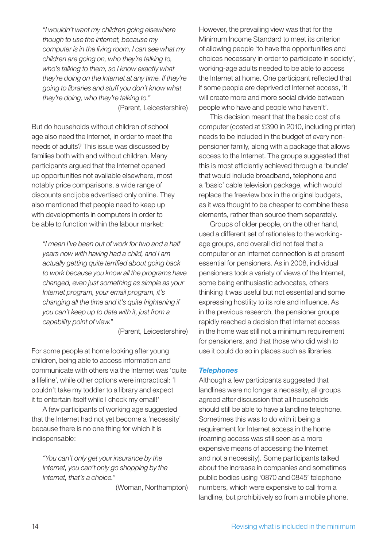*"I wouldn't want my children going elsewhere though to use the Internet, because my computer is in the living room, I can see what my children are going on, who they're talking to, who's talking to them, so I know exactly what they're doing on the Internet at any time. If they're going to libraries and stuff you don't know what they're doing, who they're talking to."*

(Parent, Leicestershire)

But do households without children of school age also need the Internet, in order to meet the needs of adults? This issue was discussed by families both with and without children. Many participants argued that the Internet opened up opportunities not available elsewhere, most notably price comparisons, a wide range of discounts and jobs advertised only online. They also mentioned that people need to keep up with developments in computers in order to be able to function within the labour market:

*"I mean I've been out of work for two and a half years now with having had a child, and I am*  actually getting quite terrified about going back *to work because you know all the programs have changed, even just something as simple as your Internet program, your email program, it's changing all the time and it's quite frightening if you can't keep up to date with it, just from a capability point of view."*

(Parent, Leicestershire)

For some people at home looking after young children, being able to access information and communicate with others via the Internet was 'quite a lifeline', while other options were impractical: 'I couldn't take my toddler to a library and expect it to entertain itself while I check my email!'

 A few participants of working age suggested that the Internet had not yet become a 'necessity' because there is no one thing for which it is indispensable:

*"You can't only get your insurance by the Internet, you can't only go shopping by the Internet, that's a choice."*

(Woman, Northampton)

However, the prevailing view was that for the Minimum Income Standard to meet its criterion of allowing people 'to have the opportunities and choices necessary in order to participate in society', working-age adults needed to be able to access the Internet at home. One participant reflected that if some people are deprived of Internet access, 'it will create more and more social divide between people who have and people who haven't'.

 This decision meant that the basic cost of a computer (costed at £390 in 2010, including printer) needs to be included in the budget of every nonpensioner family, along with a package that allows access to the Internet. The groups suggested that this is most efficiently achieved through a 'bundle' that would include broadband, telephone and a 'basic' cable television package, which would replace the freeview box in the original budgets, as it was thought to be cheaper to combine these elements, rather than source them separately.

 Groups of older people, on the other hand, used a different set of rationales to the workingage groups, and overall did not feel that a computer or an Internet connection is at present essential for pensioners. As in 2008, individual pensioners took a variety of views of the Internet, some being enthusiastic advocates, others thinking it was useful but not essential and some expressing hostility to its role and influence. As in the previous research, the pensioner groups rapidly reached a decision that Internet access in the home was still not a minimum requirement for pensioners, and that those who did wish to use it could do so in places such as libraries.

#### *Telephones*

Although a few participants suggested that landlines were no longer a necessity, all groups agreed after discussion that all households should still be able to have a landline telephone. Sometimes this was to do with it being a requirement for Internet access in the home (roaming access was still seen as a more expensive means of accessing the Internet and not a necessity). Some participants talked about the increase in companies and sometimes public bodies using '0870 and 0845' telephone numbers, which were expensive to call from a landline, but prohibitively so from a mobile phone.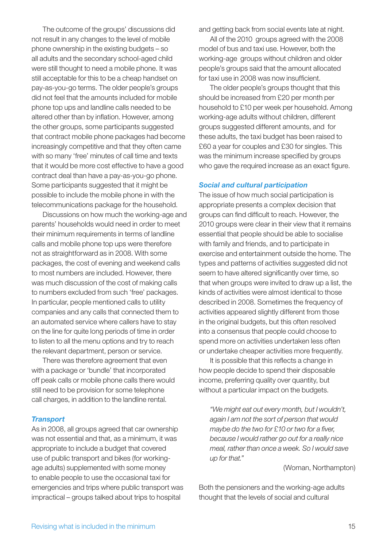The outcome of the groups' discussions did not result in any changes to the level of mobile phone ownership in the existing budgets – so all adults and the secondary school-aged child were still thought to need a mobile phone. It was still acceptable for this to be a cheap handset on pay-as-you-go terms. The older people's groups did not feel that the amounts included for mobile phone top ups and landline calls needed to be altered other than by inflation. However, among the other groups, some participants suggested that contract mobile phone packages had become increasingly competitive and that they often came with so many 'free' minutes of call time and texts that it would be more cost effective to have a good contract deal than have a pay-as-you-go phone. Some participants suggested that it might be possible to include the mobile phone in with the telecommunications package for the household.

 Discussions on how much the working-age and parents' households would need in order to meet their minimum requirements in terms of landline calls and mobile phone top ups were therefore not as straightforward as in 2008. With some packages, the cost of evening and weekend calls to most numbers are included. However, there was much discussion of the cost of making calls to numbers excluded from such 'free' packages. In particular, people mentioned calls to utility companies and any calls that connected them to an automated service where callers have to stay on the line for quite long periods of time in order to listen to all the menu options and try to reach the relevant department, person or service.

 There was therefore agreement that even with a package or 'bundle' that incorporated off peak calls or mobile phone calls there would still need to be provision for some telephone call charges, in addition to the landline rental.

#### *Transport*

As in 2008, all groups agreed that car ownership was not essential and that, as a minimum, it was appropriate to include a budget that covered use of public transport and bikes (for workingage adults) supplemented with some money to enable people to use the occasional taxi for emergencies and trips where public transport was impractical – groups talked about trips to hospital

and getting back from social events late at night.

 All of the 2010 groups agreed with the 2008 model of bus and taxi use. However, both the working-age groups without children and older people's groups said that the amount allocated for taxi use in 2008 was now insufficient.

 The older people's groups thought that this should be increased from £20 per month per household to £10 per week per household. Among working-age adults without children, different groups suggested different amounts, and for these adults, the taxi budget has been raised to £60 a year for couples and £30 for singles. This was the minimum increase specified by groups who gave the required increase as an exact figure.

#### *Social and cultural participation*

The issue of how much social participation is appropriate presents a complex decision that groups can find difficult to reach. However, the 2010 groups were clear in their view that it remains essential that people should be able to socialise with family and friends, and to participate in exercise and entertainment outside the home. The types and patterns of activities suggested did not seem to have altered significantly over time, so that when groups were invited to draw up a list, the kinds of activities were almost identical to those described in 2008. Sometimes the frequency of activities appeared slightly different from those in the original budgets, but this often resolved into a consensus that people could choose to spend more on activities undertaken less often or undertake cheaper activities more frequently.

It is possible that this reflects a change in how people decide to spend their disposable income, preferring quality over quantity, but without a particular impact on the budgets.

*"We might eat out every month, but I wouldn't, again I am not the sort of person that would maybe do the two for £10 or two for a fiver, because I would rather go out for a really nice meal, rather than once a week. So I would save up for that."*

#### (Woman, Northampton)

Both the pensioners and the working-age adults thought that the levels of social and cultural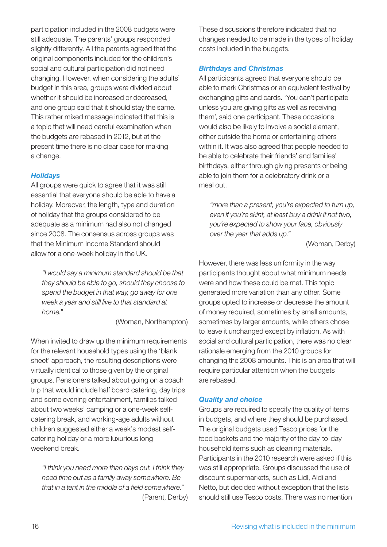participation included in the 2008 budgets were still adequate. The parents' groups responded slightly differently. All the parents agreed that the original components included for the children's social and cultural participation did not need changing. However, when considering the adults' budget in this area, groups were divided about whether it should be increased or decreased, and one group said that it should stay the same. This rather mixed message indicated that this is a topic that will need careful examination when the budgets are rebased in 2012, but at the present time there is no clear case for making a change.

### *Holidays*

All groups were quick to agree that it was still essential that everyone should be able to have a holiday. Moreover, the length, type and duration of holiday that the groups considered to be adequate as a minimum had also not changed since 2008. The consensus across groups was that the Minimum Income Standard should allow for a one-week holiday in the UK.

*"I would say a minimum standard should be that they should be able to go, should they choose to spend the budget in that way, go away for one week a year and still live to that standard at home."*

(Woman, Northampton)

When invited to draw up the minimum requirements for the relevant household types using the 'blank sheet' approach, the resulting descriptions were virtually identical to those given by the original groups. Pensioners talked about going on a coach trip that would include half board catering, day trips and some evening entertainment, families talked about two weeks' camping or a one-week selfcatering break, and working-age adults without children suggested either a week's modest selfcatering holiday or a more luxurious long weekend break.

*"I think you need more than days out. I think they need time out as a family away somewhere. Be*  that in a tent in the middle of a field somewhere." (Parent, Derby)

These discussions therefore indicated that no changes needed to be made in the types of holiday costs included in the budgets.

## *Birthdays and Christmas*

All participants agreed that everyone should be able to mark Christmas or an equivalent festival by exchanging gifts and cards. 'You can't participate unless you are giving gifts as well as receiving them', said one participant. These occasions would also be likely to involve a social element, either outside the home or entertaining others within it. It was also agreed that people needed to be able to celebrate their friends' and families' birthdays, either through giving presents or being able to join them for a celebratory drink or a meal out.

*"more than a present, you're expected to turn up, even if you're skint, at least buy a drink if not two, you're expected to show your face, obviously over the year that adds up."*

(Woman, Derby)

However, there was less uniformity in the way participants thought about what minimum needs were and how these could be met. This topic generated more variation than any other. Some groups opted to increase or decrease the amount of money required, sometimes by small amounts, sometimes by larger amounts, while others chose to leave it unchanged except by inflation. As with social and cultural participation, there was no clear rationale emerging from the 2010 groups for changing the 2008 amounts. This is an area that will require particular attention when the budgets are rebased.

### *Quality and choice*

Groups are required to specify the quality of items in budgets, and where they should be purchased. The original budgets used Tesco prices for the food baskets and the majority of the day-to-day household items such as cleaning materials. Participants in the 2010 research were asked if this was still appropriate. Groups discussed the use of discount supermarkets, such as Lidl, Aldi and Netto, but decided without exception that the lists should still use Tesco costs. There was no mention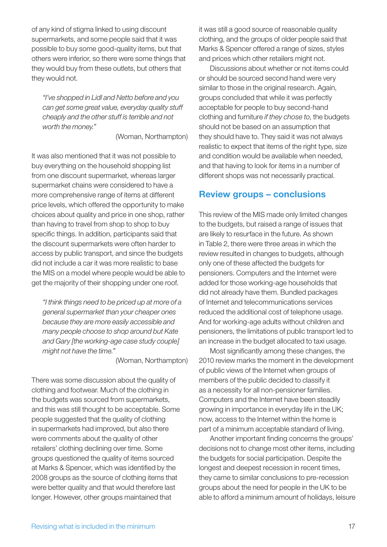of any kind of stigma linked to using discount supermarkets, and some people said that it was possible to buy some good-quality items, but that others were inferior, so there were some things that they would buy from these outlets, but others that they would not.

*"I've shopped in Lidl and Netto before and you can get some great value, everyday quality stuff cheaply and the other stuff is terrible and not worth the money."*

(Woman, Northampton)

It was also mentioned that it was not possible to buy everything on the household shopping list from one discount supermarket, whereas larger supermarket chains were considered to have a more comprehensive range of items at different price levels, which offered the opportunity to make choices about quality and price in one shop, rather than having to travel from shop to shop to buy specific things. In addition, participants said that the discount supermarkets were often harder to access by public transport, and since the budgets did not include a car it was more realistic to base the MIS on a model where people would be able to get the majority of their shopping under one roof.

*"I think things need to be priced up at more of a general supermarket than your cheaper ones because they are more easily accessible and many people choose to shop around but Kate and Gary [the working-age case study couple] might not have the time."*

(Woman, Northampton)

There was some discussion about the quality of clothing and footwear. Much of the clothing in the budgets was sourced from supermarkets, and this was still thought to be acceptable. Some people suggested that the quality of clothing in supermarkets had improved, but also there were comments about the quality of other retailers' clothing declining over time. Some groups questioned the quality of items sourced at Marks & Spencer, which was identified by the 2008 groups as the source of clothing items that were better quality and that would therefore last longer. However, other groups maintained that

it was still a good source of reasonable quality clothing, and the groups of older people said that Marks & Spencer offered a range of sizes, styles and prices which other retailers might not.

 Discussions about whether or not items could or should be sourced second hand were very similar to those in the original research. Again, groups concluded that while it was perfectly acceptable for people to buy second-hand clothing and furniture *if they chose to*, the budgets should not be based on an assumption that they should have to. They said it was not always realistic to expect that items of the right type, size and condition would be available when needed, and that having to look for items in a number of different shops was not necessarily practical.

### **Review groups – conclusions**

This review of the MIS made only limited changes to the budgets, but raised a range of issues that are likely to resurface in the future. As shown in Table 2, there were three areas in which the review resulted in changes to budgets, although only one of these affected the budgets for pensioners. Computers and the Internet were added for those working-age households that did not already have them. Bundled packages of Internet and telecommunications services reduced the additional cost of telephone usage. And for working-age adults without children and pensioners, the limitations of public transport led to an increase in the budget allocated to taxi usage.

Most significantly among these changes, the 2010 review marks the moment in the development of public views of the Internet when groups of members of the public decided to classify it as a necessity for all non-pensioner families. Computers and the Internet have been steadily growing in importance in everyday life in the UK; now, access to the Internet within the home is part of a minimum acceptable standard of living.

Another important finding concerns the groups' decisions not to change most other items, including the budgets for social participation. Despite the longest and deepest recession in recent times, they came to similar conclusions to pre-recession groups about the need for people in the UK to be able to afford a minimum amount of holidays, leisure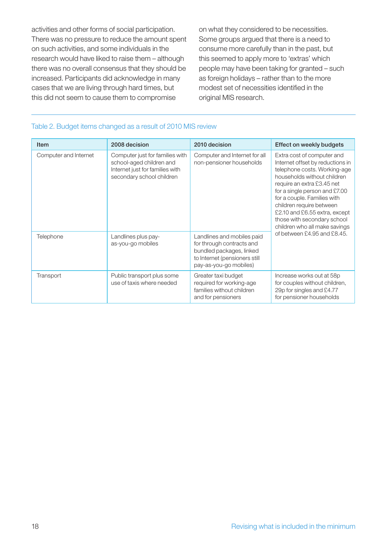activities and other forms of social participation. There was no pressure to reduce the amount spent on such activities, and some individuals in the research would have liked to raise them – although there was no overall consensus that they should be increased. Participants did acknowledge in many cases that we are living through hard times, but this did not seem to cause them to compromise

on what they considered to be necessities. Some groups argued that there is a need to consume more carefully than in the past, but this seemed to apply more to 'extras' which people may have been taking for granted – such as foreign holidays – rather than to the more modest set of necessities identified in the original MIS research.

#### Table 2. Budget items changed as a result of 2010 MIS review

| Item                  | 2008 decision                                                                                                               | 2010 decision                                                                                                                                  | Effect on weekly budgets                                                                                                                                                                                                                                                                                                                                 |
|-----------------------|-----------------------------------------------------------------------------------------------------------------------------|------------------------------------------------------------------------------------------------------------------------------------------------|----------------------------------------------------------------------------------------------------------------------------------------------------------------------------------------------------------------------------------------------------------------------------------------------------------------------------------------------------------|
| Computer and Internet | Computer just for families with<br>school-aged children and<br>Internet just for families with<br>secondary school children | Computer and Internet for all<br>non-pensioner households                                                                                      | Extra cost of computer and<br>Internet offset by reductions in<br>telephone costs. Working-age<br>households without children<br>require an extra £3.45 net<br>for a single person and £7.00<br>for a couple. Families with<br>children require between<br>£2.10 and £6.55 extra, except<br>those with secondary school<br>children who all make savings |
| Telephone             | Landlines plus pay-<br>as-you-go mobiles                                                                                    | Landlines and mobiles paid<br>for through contracts and<br>bundled packages, linked<br>to Internet (pensioners still<br>pay-as-you-go mobiles) | of between £4.95 and £8.45.                                                                                                                                                                                                                                                                                                                              |
| Transport             | Public transport plus some<br>use of taxis where needed                                                                     | Greater taxi budget<br>required for working-age<br>families without children<br>and for pensioners                                             | Increase works out at 58p<br>for couples without children,<br>29p for singles and £4.77<br>for pensioner households                                                                                                                                                                                                                                      |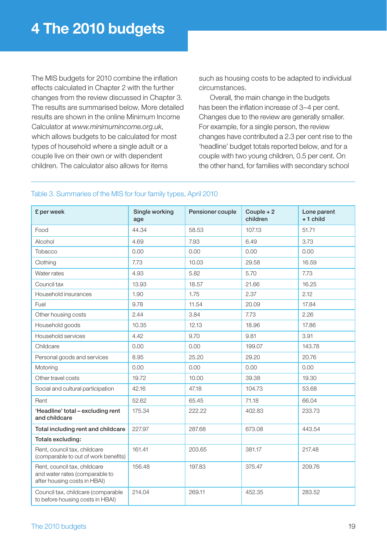The MIS budgets for 2010 combine the inflation effects calculated in Chapter 2 with the further changes from the review discussed in Chapter 3. The results are summarised below. More detailed results are shown in the online Minimum Income Calculator at *www.minimumincome.org.uk*, which allows budgets to be calculated for most types of household where a single adult or a couple live on their own or with dependent children. The calculator also allows for items

such as housing costs to be adapted to individual circumstances.

 Overall, the main change in the budgets has been the inflation increase of 3–4 per cent. Changes due to the review are generally smaller. For example, for a single person, the review changes have contributed a 2.3 per cent rise to the 'headline' budget totals reported below, and for a couple with two young children, 0.5 per cent. On the other hand, for families with secondary school

| £ per week                                                                                     | Single working<br>age | Pensioner couple | Couple $+2$<br>children | Lone parent<br>$+1$ child |
|------------------------------------------------------------------------------------------------|-----------------------|------------------|-------------------------|---------------------------|
| Food                                                                                           | 44.34                 | 58.53            | 107.13                  | 51.71                     |
| Alcohol                                                                                        | 4.69                  | 7.93             | 6.49                    | 3.73                      |
| Tobacco                                                                                        | 0.00                  | 0.00             | 0.00                    | 0.00                      |
| Clothing                                                                                       | 7.73                  | 10.03            | 29.58                   | 16.59                     |
| Water rates                                                                                    | 4.93                  | 5.82             | 5.70                    | 7.73                      |
| Council tax                                                                                    | 13.93                 | 18.57            | 21.66                   | 16.25                     |
| Household insurances                                                                           | 1.90                  | 1.75             | 2.37                    | 2.12                      |
| Fuel                                                                                           | 9.78                  | 11.54            | 20.09                   | 17.84                     |
| Other housing costs                                                                            | 2.44                  | 3.84             | 7.73                    | 2.26                      |
| Household goods                                                                                | 10.35                 | 12.13            | 18.96                   | 17.86                     |
| Household services                                                                             | 4.42                  | 9.70             | 9.81                    | 3.91                      |
| Childcare                                                                                      | 0.00                  | 0.00             | 199.07                  | 143.78                    |
| Personal goods and services                                                                    | 8.95                  | 25.20            | 29.20                   | 20.76                     |
| Motoring                                                                                       | 0.00                  | 0.00             | 0.00                    | 0.00                      |
| Other travel costs                                                                             | 19.72                 | 10.00            | 39.38                   | 19.30                     |
| Social and cultural participation                                                              | 42.16                 | 47.18            | 104.73                  | 53.68                     |
| Rent                                                                                           | 52.62                 | 65.45            | 71.18                   | 66.04                     |
| 'Headline' total - excluding rent<br>and childcare                                             | 175.34                | 222.22           | 402.83                  | 233.73                    |
| Total including rent and childcare                                                             | 227.97                | 287.68           | 673.08                  | 443.54                    |
| Totals excluding:                                                                              |                       |                  |                         |                           |
| Rent, council tax, childcare<br>(comparable to out of work benefits)                           | 161.41                | 203.65           | 381.17                  | 217.48                    |
| Rent, council tax, childcare<br>and water rates (comparable to<br>after housing costs in HBAI) | 156.48                | 197.83           | 375.47                  | 209.76                    |
| Council tax, childcare (comparable<br>to before housing costs in HBAI)                         | 214.04                | 269.11           | 452.35                  | 283.52                    |

### Table 3. Summaries of the MIS for four family types, April 2010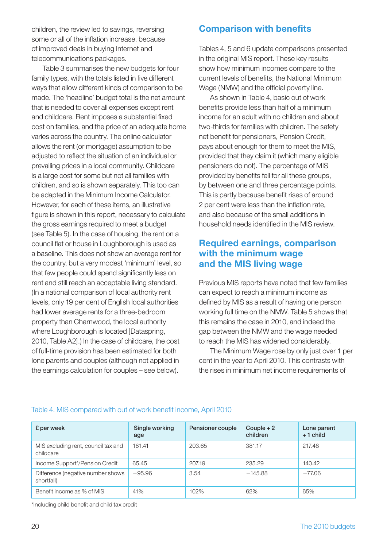children, the review led to savings, reversing some or all of the inflation increase, because of improved deals in buying Internet and telecommunications packages.

 Table 3 summarises the new budgets for four family types, with the totals listed in five different ways that allow different kinds of comparison to be made. The 'headline' budget total is the net amount that is needed to cover all expenses except rent and childcare. Rent imposes a substantial fixed cost on families, and the price of an adequate home varies across the country. The online calculator allows the rent (or mortgage) assumption to be adjusted to reflect the situation of an individual or prevailing prices in a local community. Childcare is a large cost for some but not all families with children, and so is shown separately. This too can be adapted in the Minimum Income Calculator. However, for each of these items, an illustrative figure is shown in this report, necessary to calculate the gross earnings required to meet a budget (see Table 5). In the case of housing, the rent on a council flat or house in Loughborough is used as a baseline. This does not show an average rent for the country, but a very modest 'minimum' level, so that few people could spend significantly less on rent and still reach an acceptable living standard. (In a national comparison of local authority rent levels, only 19 per cent of English local authorities had lower average rents for a three-bedroom property than Charnwood, the local authority where Loughborough is located [Dataspring, 2010, Table A2].) In the case of childcare, the cost of full-time provision has been estimated for both lone parents and couples (although not applied in the earnings calculation for couples – see below).

# **Comparison with benefits**

Tables 4, 5 and 6 update comparisons presented in the original MIS report. These key results show how minimum incomes compare to the current levels of benefits, the National Minimum Wage (NMW) and the official poverty line.

 As shown in Table 4, basic out of work benefits provide less than half of a minimum income for an adult with no children and about two-thirds for families with children. The safety net benefit for pensioners, Pension Credit, pays about enough for them to meet the MIS, provided that they claim it (which many eligible pensioners do not). The percentage of MIS provided by benefits fell for all these groups, by between one and three percentage points. This is partly because benefit rises of around 2 per cent were less than the inflation rate, and also because of the small additions in household needs identified in the MIS review.

### **Required earnings, comparison with the minimum wage and the MIS living wage**

Previous MIS reports have noted that few families can expect to reach a minimum income as defined by MIS as a result of having one person working full time on the NMW. Table 5 shows that this remains the case in 2010, and indeed the gap between the NMW and the wage needed to reach the MIS has widened considerably.

 The Minimum Wage rose by only just over 1 per cent in the year to April 2010. This contrasts with the rises in minimum net income requirements of

| £ per week                                       | Single working<br>age | Pensioner couple | Couple $+2$<br>children | Lone parent<br>$+1$ child |
|--------------------------------------------------|-----------------------|------------------|-------------------------|---------------------------|
| MIS excluding rent, council tax and<br>childcare | 161.41                | 203.65           | 381.17                  | 217.48                    |
| Income Support*/Pension Credit                   | 65.45                 | 207.19           | 235.29                  | 140.42                    |
| Difference (negative number shows<br>shortfall)  | $-95.96$              | 3.54             | $-145.88$               | $-77.06$                  |
| Benefit income as % of MIS                       | 41%                   | 102%             | 62%                     | 65%                       |

#### Table 4. MIS compared with out of work benefit income, April 2010

\*Including child benefit and child tax credit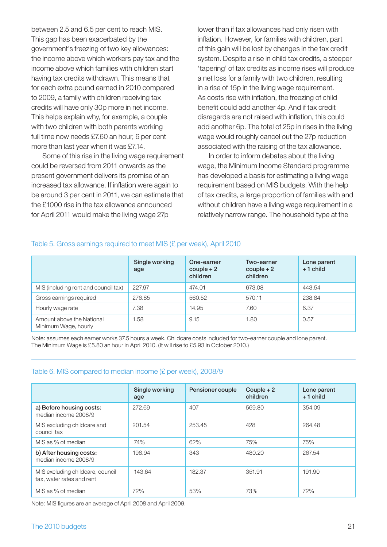between 2.5 and 6.5 per cent to reach MIS. This gap has been exacerbated by the government's freezing of two key allowances: the income above which workers pay tax and the income above which families with children start having tax credits withdrawn. This means that for each extra pound earned in 2010 compared to 2009, a family with children receiving tax credits will have only 30p more in net income. This helps explain why, for example, a couple with two children with both parents working full time now needs £7.60 an hour, 6 per cent more than last year when it was £7.14.

 Some of this rise in the living wage requirement could be reversed from 2011 onwards as the present government delivers its promise of an increased tax allowance. If inflation were again to be around 3 per cent in 2011, we can estimate that the £1000 rise in the tax allowance announced for April 2011 would make the living wage 27p

lower than if tax allowances had only risen with inflation. However, for families with children, part of this gain will be lost by changes in the tax credit system. Despite a rise in child tax credits, a steeper 'tapering' of tax credits as income rises will produce a net loss for a family with two children, resulting in a rise of 15p in the living wage requirement. As costs rise with inflation, the freezing of child benefit could add another 4p. And if tax credit disregards are not raised with inflation, this could add another 6p. The total of 25p in rises in the living wage would roughly cancel out the 27p reduction associated with the raising of the tax allowance.

 In order to inform debates about the living wage, the Minimum Income Standard programme has developed a basis for estimating a living wage requirement based on MIS budgets. With the help of tax credits, a large proportion of families with and without children have a living wage requirement in a relatively narrow range. The household type at the

#### Table 5. Gross earnings required to meet MIS (£ per week), April 2010

|                                                   | Single working<br>age | One-earner<br>$couple + 2$<br>children | Two-earner<br>$couple + 2$<br>children | Lone parent<br>$+1$ child |
|---------------------------------------------------|-----------------------|----------------------------------------|----------------------------------------|---------------------------|
| MIS (including rent and council tax)              | 227.97                | 474.01                                 | 673.08                                 | 443.54                    |
| Gross earnings required                           | 276.85                | 560.52                                 | 570.11                                 | 238.84                    |
| Hourly wage rate                                  | 7.38                  | 14.95                                  | 7.60                                   | 6.37                      |
| Amount above the National<br>Minimum Wage, hourly | .58                   | 9.15                                   | 1.80                                   | 0.57                      |

Note: assumes each earner works 37.5 hours a week. Childcare costs included for two-earner couple and lone parent. The Minimum Wage is £5.80 an hour in April 2010. (It will rise to £5.93 in October 2010.)

#### Table 6. MIS compared to median income (£ per week), 2008/9

|                                                               | Single working<br>age | Pensioner couple | Couple $+2$<br>children | Lone parent<br>$+1$ child |
|---------------------------------------------------------------|-----------------------|------------------|-------------------------|---------------------------|
|                                                               |                       |                  |                         |                           |
| a) Before housing costs:<br>median income 2008/9              | 272.69                | 407              | 569.80                  | 354.09                    |
| MIS excluding childcare and<br>council tax                    | 201.54                | 253.45           | 428                     | 264.48                    |
| MIS as % of median                                            | 74%                   | 62%              | 75%                     | 75%                       |
| b) After housing costs:<br>median income 2008/9               | 198.94                | 343              | 480.20                  | 267.54                    |
| MIS excluding childcare, council<br>tax, water rates and rent | 143.64                | 182.37           | 351.91                  | 191.90                    |
| MIS as % of median                                            | 72%                   | 53%              | 73%                     | 72%                       |

Note: MIS figures are an average of April 2008 and April 2009.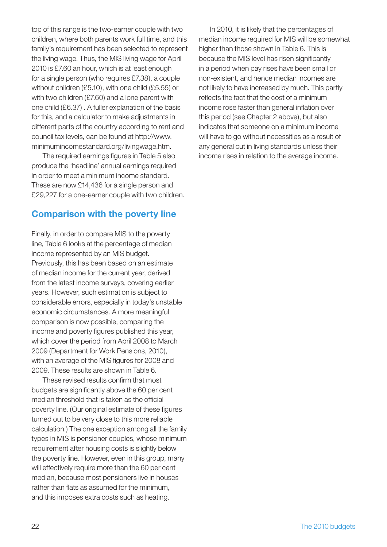top of this range is the two-earner couple with two children, where both parents work full time, and this family's requirement has been selected to represent the living wage. Thus, the MIS living wage for April 2010 is £7.60 an hour, which is at least enough for a single person (who requires £7.38), a couple without children (£5.10), with one child (£5.55) or with two children (£7.60) and a lone parent with one child (£6.37) . A fuller explanation of the basis for this, and a calculator to make adjustments in different parts of the country according to rent and [council tax levels, can be found at http://www.](http://www.minimumincomestandard.org/livingwage.htm) minimumincomestandard.org/livingwage.htm.

The required earnings figures in Table 5 also produce the 'headline' annual earnings required in order to meet a minimum income standard. These are now £14,436 for a single person and £29,227 for a one-earner couple with two children.

# **Comparison with the poverty line**

Finally, in order to compare MIS to the poverty line, Table 6 looks at the percentage of median income represented by an MIS budget. Previously, this has been based on an estimate of median income for the current year, derived from the latest income surveys, covering earlier years. However, such estimation is subject to considerable errors, especially in today's unstable economic circumstances. A more meaningful comparison is now possible, comparing the income and poverty figures published this year, which cover the period from April 2008 to March 2009 (Department for Work Pensions, 2010), with an average of the MIS figures for 2008 and 2009. These results are shown in Table 6.

These revised results confirm that most budgets are significantly above the 60 per cent median threshold that is taken as the official poverty line. (Our original estimate of these figures turned out to be very close to this more reliable calculation.) The one exception among all the family types in MIS is pensioner couples, whose minimum requirement after housing costs is slightly below the poverty line. However, even in this group, many will effectively require more than the 60 per cent median, because most pensioners live in houses rather than flats as assumed for the minimum, and this imposes extra costs such as heating.

 In 2010, it is likely that the percentages of median income required for MIS will be somewhat higher than those shown in Table 6. This is because the MIS level has risen significantly in a period when pay rises have been small or non-existent, and hence median incomes are not likely to have increased by much. This partly reflects the fact that the cost of a minimum income rose faster than general inflation over this period (see Chapter 2 above), but also indicates that someone on a minimum income will have to go without necessities as a result of any general cut in living standards unless their income rises in relation to the average income.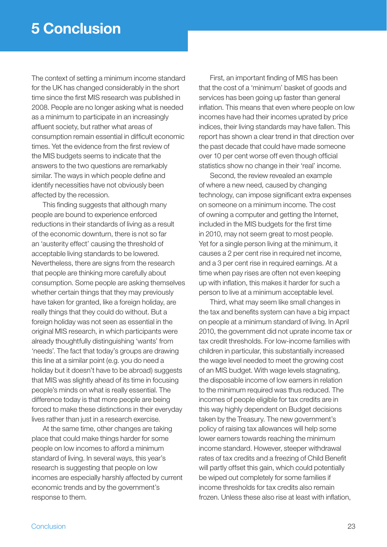The context of setting a minimum income standard for the UK has changed considerably in the short time since the first MIS research was published in 2008. People are no longer asking what is needed as a minimum to participate in an increasingly affluent society, but rather what areas of consumption remain essential in difficult economic times. Yet the evidence from the first review of the MIS budgets seems to indicate that the answers to the two questions are remarkably similar. The ways in which people define and identify necessities have not obviously been affected by the recession.

This finding suggests that although many people are bound to experience enforced reductions in their standards of living as a result of the economic downturn, there is not so far an 'austerity effect' causing the threshold of acceptable living standards to be lowered. Nevertheless, there are signs from the research that people are thinking more carefully about consumption. Some people are asking themselves whether certain things that they may previously have taken for granted, like a foreign holiday, are really things that they could do without. But a foreign holiday was not seen as essential in the original MIS research, in which participants were already thoughtfully distinguishing 'wants' from 'needs'. The fact that today's groups are drawing this line at a similar point (e.g. you do need a holiday but it doesn't have to be abroad) suggests that MIS was slightly ahead of its time in focusing people's minds on what is really essential. The difference today is that more people are being forced to make these distinctions in their everyday lives rather than just in a research exercise.

 At the same time, other changes are taking place that could make things harder for some people on low incomes to afford a minimum standard of living. In several ways, this year's research is suggesting that people on low incomes are especially harshly affected by current economic trends and by the government's response to them.

First, an important finding of MIS has been that the cost of a 'minimum' basket of goods and services has been going up faster than general inflation. This means that even where people on low incomes have had their incomes uprated by price indices, their living standards may have fallen. This report has shown a clear trend in that direction over the past decade that could have made someone over 10 per cent worse off even though official statistics show no change in their 'real' income.

 Second, the review revealed an example of where a new need, caused by changing technology, can impose significant extra expenses on someone on a minimum income. The cost of owning a computer and getting the Internet, included in the MIS budgets for the first time in 2010, may not seem great to most people. Yet for a single person living at the minimum, it causes a 2 per cent rise in required net income, and a 3 per cent rise in required earnings. At a time when pay rises are often not even keeping up with inflation, this makes it harder for such a person to live at a minimum acceptable level.

 Third, what may seem like small changes in the tax and benefits system can have a big impact on people at a minimum standard of living. In April 2010, the government did not uprate income tax or tax credit thresholds. For low-income families with children in particular, this substantially increased the wage level needed to meet the growing cost of an MIS budget. With wage levels stagnating, the disposable income of low earners in relation to the minimum required was thus reduced. The incomes of people eligible for tax credits are in this way highly dependent on Budget decisions taken by the Treasury. The new government's policy of raising tax allowances will help some lower earners towards reaching the minimum income standard. However, steeper withdrawal rates of tax credits and a freezing of Child Benefit will partly offset this gain, which could potentially be wiped out completely for some families if income thresholds for tax credits also remain frozen. Unless these also rise at least with inflation,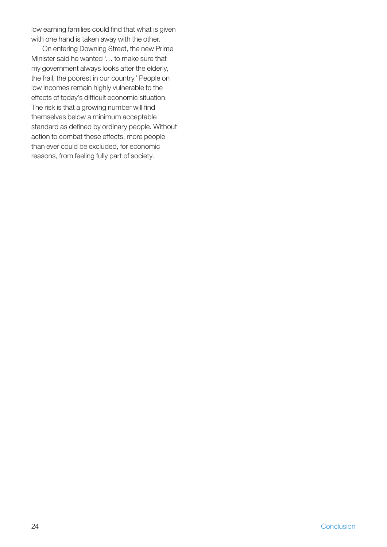low earning families could find that what is given with one hand is taken away with the other.

 On entering Downing Street, the new Prime Minister said he wanted '… to make sure that my government always looks after the elderly, the frail, the poorest in our country.' People on low incomes remain highly vulnerable to the effects of today's difficult economic situation. The risk is that a growing number will find themselves below a minimum acceptable standard as defined by ordinary people. Without action to combat these effects, more people than ever could be excluded, for economic reasons, from feeling fully part of society.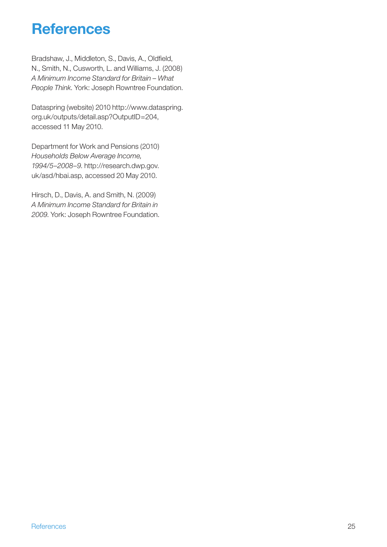# **References**

Bradshaw, J., Middleton, S., Davis, A., Oldfield, N., Smith, N., Cusworth, L. and Williams, J. (2008) *A Minimum Income Standard for Britain – What People Think*. York: Joseph Rowntree Foundation.

[Dataspring \(website\) 2010 http://www.dataspring.](http://www.dataspring.org.uk/outputs/detail.asp?OutputID=204) org.uk/outputs/detail.asp?OutputID=204, accessed 11 May 2010.

Department for Work and Pensions (2010) *Households Below Average Income, 1994/5–2008–9*. http://research.dwp.gov. [uk/asd/hbai.asp, accessed 20 May 2010.](http://research.dwp.gov.uk/asd/hbai.asp)

Hirsch, D., Davis, A. and Smith, N. (2009) *A Minimum Income Standard for Britain in 2009*. York: Joseph Rowntree Foundation.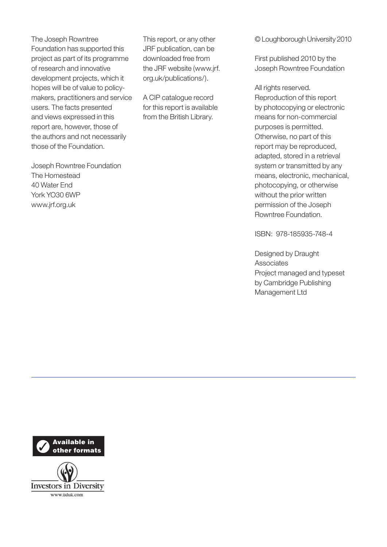The Joseph Rowntree Foundation has supported this project as part of its programme of research and innovative development projects, which it hopes will be of value to policymakers, practitioners and service users. The facts presented and views expressed in this report are, however, those of the authors and not necessarily those of the Foundation.

Joseph Rowntree Foundation The Homestead 40 Water End York YO30 6WP www.jrf.org.uk

This report, or any other JRF publication, can be downloaded free from the JRF website (www.jrf. org.uk/publications/).

A CIP catalogue record for this report is available from the British Library.

© Loughborough University 2010

First published 2010 by the Joseph Rowntree Foundation

All rights reserved. Reproduction of this report by photocopying or electronic means for non-commercial purposes is permitted. Otherwise, no part of this report may be reproduced, adapted, stored in a retrieval system or transmitted by any means, electronic, mechanical, photocopying, or otherwise without the prior written permission of the Joseph Rowntree Foundation.

ISBN: 978-185935-748-4

Designed by Draught **Associates** Project managed and typeset by Cambridge Publishing Management Ltd